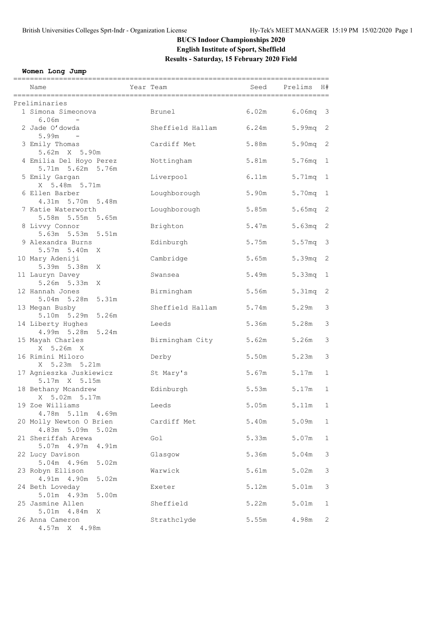# **BUCS Indoor Championships 2020 English Institute of Sport, Sheffield Results - Saturday, 15 February 2020 Field**

#### **Women Long Jump**

| Name                                            | Year Team |                  | Seed  | Prelims<br>H#           |              |
|-------------------------------------------------|-----------|------------------|-------|-------------------------|--------------|
| Preliminaries                                   |           |                  |       |                         |              |
| 1 Simona Simeonova<br>6.06m<br>$\sim 100$       |           | Brunel           | 6.02m | $6.06mg - 3$            |              |
| 2 Jade O'dowda<br>5.99m                         |           | Sheffield Hallam | 6.24m | 5.99 <sub>mq</sub>      | 2            |
| 3 Emily Thomas<br>5.62m X 5.90m                 |           | Cardiff Met      | 5.88m | 5.90 <sub>mq</sub>      | 2            |
| 4 Emilia Del Hoyo Perez<br>5.71m 5.62m 5.76m    |           | Nottingham       | 5.81m | 5.76mg<br>$\mathbf{1}$  |              |
| 5 Emily Gargan<br>X 5.48m 5.71m                 |           | Liverpool        | 6.11m | 5.71mq<br>$\mathbf{1}$  |              |
| 6 Ellen Barber<br>4.31m 5.70m 5.48m             |           | Loughborough     | 5.90m | 5.70mg                  | 1            |
| 7 Katie Waterworth<br>5.58m 5.55m 5.65m         |           | Loughborough     | 5.85m | 5.65mq 2                |              |
| 8 Livvy Connor<br>$5.63m$ $5.53m$<br>5.51m      |           | Brighton         | 5.47m | 5.63mg                  | 2            |
| 9 Alexandra Burns<br>$5.57m$ $5.40m$<br>X       |           | Edinburgh        | 5.75m | 5.57 <sub>mq</sub>      | 3            |
| 10 Mary Adeniji<br>5.39m 5.38m X                |           | Cambridge        | 5.65m | 5.39mq 2                |              |
| 11 Lauryn Davey<br>5.26m 5.33m X                |           | Swansea          | 5.49m | 5.33 <sub>mq</sub><br>1 |              |
| 12 Hannah Jones<br>5.04m 5.28m 5.31m            |           | Birmingham       | 5.56m | 5.31mg                  | 2            |
| 13 Megan Busby<br>5.10m 5.29m 5.26m             |           | Sheffield Hallam | 5.74m | 5.29m                   | 3            |
| 14 Liberty Hughes<br>4.99m 5.28m 5.24m          |           | Leeds            | 5.36m | 5.28m                   | 3            |
| 15 Mayah Charles<br>X 5.26m X                   |           | Birmingham City  | 5.62m | 5.26m                   | 3            |
| 16 Rimini Miloro<br>X 5.23m 5.21m               |           | Derby            | 5.50m | 5.23m                   | 3            |
| 17 Agnieszka Juskiewicz<br>5.17m X 5.15m        |           | St Mary's        | 5.67m | 5.17m                   | 1            |
| 18 Bethany Mcandrew<br>X 5.02m 5.17m            |           | Edinburgh        | 5.53m | 5.17m                   | 1            |
| 19 Zoe Williams<br>4.78m 5.11m 4.69m            |           | Leeds            | 5.05m | 5.11m                   | $\mathbf 1$  |
| 20 Molly Newton O Brien<br>4.83m 5.09m<br>5.02m |           | Cardiff Met      | 5.40m | 5.09m                   | 1            |
| 21 Sheriffah Arewa<br>5.07m 4.97m<br>4.91m      |           | Gol              | 5.33m | 5.07m                   | $\mathbf 1$  |
| 22 Lucy Davison<br>5.04m 4.96m<br>5.02m         |           | Glasgow          | 5.36m | 5.04m                   | 3            |
| 23 Robyn Ellison<br>4.91m 4.90m                 |           | Warwick          | 5.61m | 5.02m                   | 3            |
| 5.02m<br>24 Beth Loveday<br>5.01m 4.93m         |           | Exeter           | 5.12m | 5.01m                   | 3            |
| 5.00m<br>25 Jasmine Allen                       |           | Sheffield        | 5.22m | 5.01m                   | 1            |
| 5.01m  4.84m  X<br>26 Anna Cameron              |           | Strathclyde      | 5.55m | 4.98m                   | $\mathbf{2}$ |

4.57m X 4.98m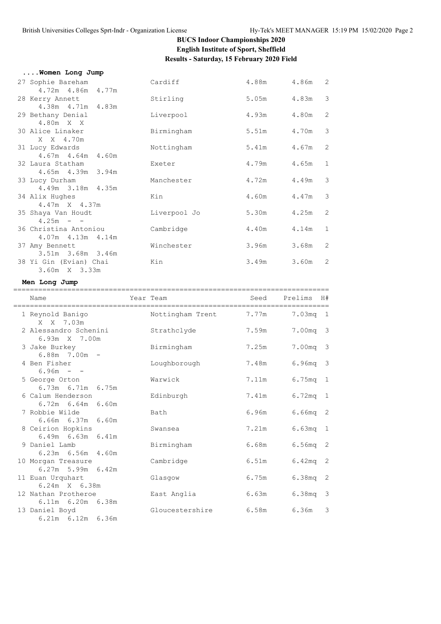#### **BUCS Indoor Championships 2020 English Institute of Sport, Sheffield Results - Saturday, 15 February 2020 Field**

| Women Long Jump        |              |       |             |                            |
|------------------------|--------------|-------|-------------|----------------------------|
| 27 Sophie Bareham      | Cardiff      |       | 4.88m 4.86m | $\overline{\phantom{0}}^2$ |
| 4.72m  4.86m  4.77m    |              |       |             |                            |
| 28 Kerry Annett        | Stirling     |       | 5.05m 4.83m | $\mathcal{S}$              |
| 4.38m  4.71m  4.83m    |              |       |             |                            |
| 29 Bethany Denial      | Liverpool    | 4.93m | 4.80m       | $\overline{2}$             |
| 4.80m X X              |              |       |             |                            |
| 30 Alice Linaker       | Birmingham   | 5.51m | 4.70m       | 3                          |
| X X 4.70m              |              |       |             |                            |
| 31 Lucy Edwards        | Nottingham   | 5.41m | 4.67m       | 2                          |
| 4.67m 4.64m 4.60m      |              |       |             |                            |
| 32 Laura Statham       | Exeter       | 4.79m | 4.65m       | $\mathbf{1}$               |
| 4.65m 4.39m 3.94m      |              |       |             |                            |
| 33 Lucy Durham         | Manchester   | 4.72m | 4.49m       | 3                          |
| 4.49m 3.18m 4.35m      |              |       |             |                            |
| 34 Alix Hughes         | Kin          | 4.60m | 4.47m       | 3                          |
| 4.47m X 4.37m          |              |       |             |                            |
| 35 Shaya Van Houdt     | Liverpool Jo | 5.30m | 4.25m       | $\overline{2}$             |
| $4.25m - -$            |              |       |             |                            |
| 36 Christina Antoniou  | Cambridge    | 4.40m | 4.14m       | $\mathbf 1$                |
| 4.07m  4.13m  4.14m    |              |       |             |                            |
| 37 Amy Bennett         | Winchester   | 3.96m | 3.68m       | $\overline{2}$             |
| 3.51m 3.68m 3.46m      |              |       |             |                            |
| 38 Yi Gin (Evian) Chai | Kin          | 3.49m | 3.60m       | 2                          |
| 3.60m X 3.33m          |              |       |             |                            |
|                        |              |       |             |                            |

#### **Men Long Jump**

| Name                                         | Year Team                       |       | Seed Prelims | H#           |
|----------------------------------------------|---------------------------------|-------|--------------|--------------|
|                                              |                                 |       |              |              |
| 1 Reynold Banigo<br>$X \times 7.03m$         | Nottingham Trent 7.77m 7.03mq 1 |       |              |              |
| 2 Alessandro Schenini<br>6.93m X 7.00m       | Strathclyde                     | 7.59m | 7.00mg 3     |              |
| 3 Jake Burkey<br>$6.88m$ 7.00m -             | Birmingham                      | 7.25m | 7.00mg 3     |              |
| 4 Ben Fisher<br>$6.96m - -$                  | Loughborough                    | 7.48m | $6.96mg - 3$ |              |
| 5 George Orton<br>$6.73m$ $6.71m$ $6.75m$    | Warwick                         | 7.11m | $6.75mg$ 1   |              |
| 6 Calum Henderson<br>$6.72m$ $6.64m$ $6.60m$ | Edinburgh                       | 7.41m | $6.72mg - 1$ |              |
| 7 Robbie Wilde<br>6.66m 6.37m 6.60m          | Bath                            | 6.96m | $6.66mg$ 2   |              |
| 8 Ceirion Hopkins<br>$6.49m$ $6.63m$ $6.41m$ | Swansea                         | 7.21m | $6.63mg$ 1   |              |
| 9 Daniel Lamb<br>$6.23m$ $6.56m$ $4.60m$     | Birmingham                      | 6.68m | 6.56mq 2     |              |
| 10 Morgan Treasure<br>$6.27m$ 5.99m $6.42m$  | Cambridge                       | 6.51m | $6.42mg$ 2   |              |
| 11 Euan Urquhart<br>6.24m X 6.38m            | Glasqow                         | 6.75m | $6.38mg$ 2   |              |
| 12 Nathan Protheroe<br>6.11m 6.20m 6.38m     | East Anglia                     | 6.63m | $6.38mg - 3$ |              |
| 13 Daniel Boyd<br>$6.21m$ $6.12m$ $6.36m$    | Gloucestershire                 | 6.58m | 6.36m        | $\mathbf{3}$ |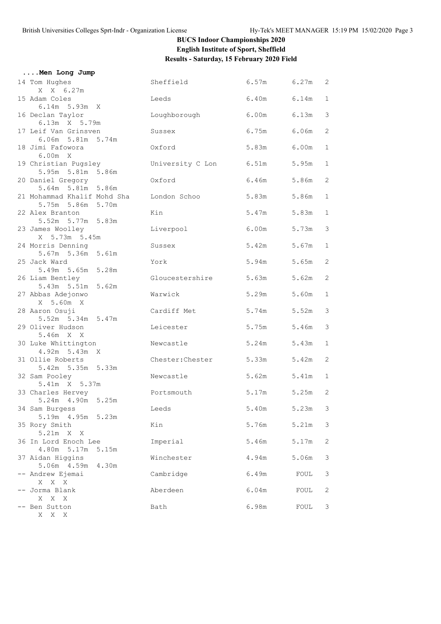# **BUCS Indoor Championships 2020 English Institute of Sport, Sheffield Results - Saturday, 15 February 2020 Field**

| Men Long Jump                                    |                         |             |             |                |
|--------------------------------------------------|-------------------------|-------------|-------------|----------------|
| 14 Tom Hughes<br>X X 6.27m                       | Sheffield 6.57m 6.27m 2 |             |             |                |
| 15 Adam Coles<br>6.14m 5.93m X                   | Leeds                   | 6.40m       | 6.14m       | 1              |
| 16 Declan Taylor<br>6.13m X 5.79m                | Loughborough            | 6.00m 6.13m |             | 3              |
| 17 Leif Van Grinsven<br>6.06m 5.81m 5.74m        | Sussex                  | 6.75m       | 6.06m       | $\overline{c}$ |
| 18 Jimi Fafowora<br>6.00m X                      | Oxford                  | 5.83m       | 6.00m       | 1              |
| 19 Christian Pugsley<br>5.95m 5.81m 5.86m        | University C Lon        | 6.51m       | 5.95m       | $\mathbf 1$    |
| 20 Daniel Gregory<br>5.64m 5.81m 5.86m           | Oxford                  | 6.46m       | 5.86m       | 2              |
| 21 Mohammad Khalif Mohd Sha<br>5.75m 5.86m 5.70m | London Schoo            | 5.83m       | 5.86m       | 1              |
| 22 Alex Branton<br>5.52m 5.77m 5.83m             | Kin                     | 5.47m       | 5.83m       | $\mathbf{1}$   |
| 23 James Woolley<br>X 5.73m 5.45m                | Liverpool               | 6.00m       | 5.73m       | 3              |
| 24 Morris Denning<br>5.67m 5.36m 5.61m           | Sussex                  | 5.42m       | 5.67m       | 1              |
| 25 Jack Ward<br>5.49m 5.65m 5.28m                | York                    | 5.94m       | 5.65m       | 2              |
| 26 Liam Bentley<br>5.43m 5.51m 5.62m             | Gloucestershire         | 5.63m       | 5.62m       | 2              |
| 27 Abbas Adejonwo<br>X 5.60m X                   | Warwick                 | 5.29m       | 5.60m       | 1              |
| 28 Aaron Osuji<br>5.52m 5.34m 5.47m              | Cardiff Met             | 5.74m       | 5.52m       | 3              |
| 29 Oliver Hudson<br>5.46m X X                    | Leicester               | 5.75m       | 5.46m       | 3              |
| 30 Luke Whittington<br>4.92m 5.43m X             | Newcastle               | 5.24m       | 5.43m       | 1              |
| 31 Ollie Roberts<br>5.42m 5.35m 5.33m            | Chester:Chester         | 5.33m       | 5.42m       | 2              |
| 32 Sam Pooley<br>5.41m X 5.37m                   | Newcastle               | 5.62m       | 5.41m       | $\mathbf 1$    |
| 33 Charles Hervey<br>5.24m 4.90m 5.25m           | Portsmouth              |             | 5.17m 5.25m | 2              |
| 34 Sam Burgess<br>5.19m 4.95m<br>5.23m           | Leeds                   | 5.40m       | 5.23m       | 3              |
| 35 Rory Smith<br>5.21m X X                       | Kin                     | 5.76m       | 5.21m       | 3              |
| 36 In Lord Enoch Lee<br>4.80m 5.17m 5.15m        | Imperial                | 5.46m       | 5.17m       | 2              |
| 37 Aidan Higgins<br>5.06m 4.59m<br>4.30m         | Winchester              | 4.94m       | 5.06m       | 3              |
| -- Andrew Ejemai                                 | Cambridge               | 6.49m       | FOUL        | 3              |
| X X X<br>-- Jorma Blank<br>X X X                 | Aberdeen                | 6.04m       | FOUL        | 2              |
| -- Ben Sutton<br>X X X                           | Bath                    | 6.98m       | FOUL        | 3              |
|                                                  |                         |             |             |                |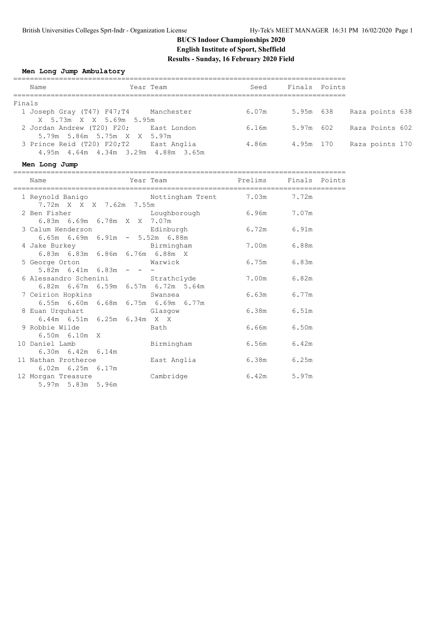# **BUCS Indoor Championships 2020 English Institute of Sport, Sheffield Results - Sunday, 16 February 2020 Field**

#### **Men Long Jump Ambulatory**

|        | Name                                | Year Team   | Seed  | Finals Points |  |                 |  |
|--------|-------------------------------------|-------------|-------|---------------|--|-----------------|--|
| Finals |                                     |             |       |               |  |                 |  |
|        | $1$ Joseph Gray (T47) F47;T4        | Manchester  | 6.07m | 5.95m 638     |  | Raza points 638 |  |
|        | X 5.73m X X 5.69m 5.95m             |             |       |               |  |                 |  |
|        | 2 Jordan Andrew (T20) F20;          | East London | 6.16m | 5.97m 602     |  | Raza Points 602 |  |
|        | 5.79m 5.86m 5.75m X X 5.97m         |             |       |               |  |                 |  |
|        | 3 Prince Reid (T20) F20;T2          | East Anglia | 4.86m | 4.95m 170     |  | Raza points 170 |  |
|        | 4.95m 4.64m 4.34m 3.29m 4.88m 3.65m |             |       |               |  |                 |  |

#### **Men Long Jump**

| Name                                     | Year Team                                     |               | Prelims Finals Points |  |
|------------------------------------------|-----------------------------------------------|---------------|-----------------------|--|
| 7.72m X X X 7.62m 7.55m                  | 1 Reynold Banigo Mottingham Trent 7.03m 7.72m |               |                       |  |
|                                          | 2 Ben Fisher Coughborough 6.96m 7.07m         |               |                       |  |
| 6.83m 6.69m 6.78m X X 7.07m              |                                               |               |                       |  |
|                                          | 3 Calum Henderson based by Edinburgh          | 6.72m 6.91m   |                       |  |
| $6.65m$ $6.69m$ $6.91m$ $ 5.52m$ $6.88m$ |                                               |               |                       |  |
| 4 Jake Burkey Manuel Birmingham          |                                               | 7.00 m 6.88 m |                       |  |
|                                          | 6.83m 6.83m 6.86m 6.76m 6.88m X               |               |                       |  |
| 5 George Orton Warwick                   |                                               | 6.75m 6.83m   |                       |  |
| $5.82m$ 6.41m 6.83m - - -                |                                               |               |                       |  |
|                                          | 6 Alessandro Schenini             Strathclyde | 7.00m 6.82m   |                       |  |
|                                          | 6.82m 6.67m 6.59m 6.57m 6.72m 5.64m           |               |                       |  |
|                                          | 7 Ceirion Hopkins Swansea                     | 6.63m 6.77m   |                       |  |
|                                          | 6.55m 6.60m 6.68m 6.75m 6.69m 6.77m           |               |                       |  |
|                                          | 8 Euan Urquhart Glasgow                       | 6.38m 6.51m   |                       |  |
| $6.44m$ $6.51m$ $6.25m$ $6.34m$ X X      |                                               |               |                       |  |
| 9 Robbie Wilde Communications and Bath   |                                               | 6.66m 6.50m   |                       |  |
| $6.50m$ $6.10m$ X                        |                                               |               |                       |  |
| 10 Daniel Lamb                           | Birmingham                                    | 6.56m 6.42m   |                       |  |
| $6.30m$ $6.42m$ $6.14m$                  |                                               |               |                       |  |
| 11 Nathan Protheroe                      | East Anglia                                   | 6.38m 6.25m   |                       |  |
| $6.02m$ $6.25m$ $6.17m$                  |                                               |               |                       |  |
| 12 Morgan Treasure                       | Cambridge                                     | 6.42m         | 5.97m                 |  |
| 5.97m 5.83m 5.96m                        |                                               |               |                       |  |